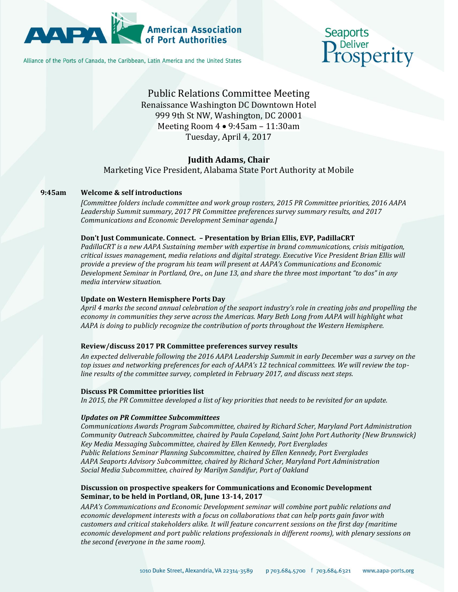#### **American Association** of Port Authorities

Alliance of the Ports of Canada, the Caribbean, Latin America and the United States

### **Seaports** D Deliver<br>TOSperity

#### Public Relations Committee Meeting Renaissance Washington DC Downtown Hotel 999 9th St NW, Washington, DC 20001 Meeting Room 4 9:45am – 11:30am Tuesday, April 4, 2017

#### **Judith Adams, Chair**

Marketing Vice President, Alabama State Port Authority at Mobile

#### **9:45am Welcome & self introductions**

*[Committee folders include committee and work group rosters, 2015 PR Committee priorities, 2016 AAPA Leadership Summit summary, 2017 PR Committee preferences survey summary results, and 2017 Communications and Economic Development Seminar agenda.]* 

#### **Don't Just Communicate. Connect. – Presentation by Brian Ellis, EVP, PadillaCRT**

*PadillaCRT is a new AAPA Sustaining member with expertise in brand communications, crisis mitigation, critical issues management, media relations and digital strategy. Executive Vice President Brian Ellis will provide a preview of the program his team will present at AAPA's Communications and Economic Development Seminar in Portland, Ore., on June 13, and share the three most important "to dos" in any media interview situation.*

#### **Update on Western Hemisphere Ports Day**

*April 4 marks the second annual celebration of the seaport industry's role in creating jobs and propelling the economy in communities they serve across the Americas. Mary Beth Long from AAPA will highlight what AAPA is doing to publicly recognize the contribution of ports throughout the Western Hemisphere.*

#### **Review/discuss 2017 PR Committee preferences survey results**

*An expected deliverable following the 2016 AAPA Leadership Summit in early December was a survey on the top issues and networking preferences for each of AAPA's 12 technical committees. We will review the topline results of the committee survey, completed in February 2017, and discuss next steps.*

#### **Discuss PR Committee priorities list**

*In 2015, the PR Committee developed a list of key priorities that needs to be revisited for an update.* 

#### *Updates on PR Committee Subcommittees*

*Communications Awards Program Subcommittee, chaired by Richard Scher, Maryland Port Administration Community Outreach Subcommittee, chaired by Paula Copeland, Saint John Port Authority (New Brunswick) Key Media Messaging Subcommittee, chaired by Ellen Kennedy, Port Everglades Public Relations Seminar Planning Subcommittee, chaired by Ellen Kennedy, Port Everglades AAPA Seaports Advisory Subcommittee, chaired by Richard Scher, Maryland Port Administration Social Media Subcommittee, chaired by Marilyn Sandifur, Port of Oakland*

#### **Discussion on prospective speakers for Communications and Economic Development Seminar, to be held in Portland, OR, June 13-14, 2017**

*AAPA's Communications and Economic Development seminar will combine port public relations and economic development interests with a focus on collaborations that can help ports gain favor with customers and critical stakeholders alike. It will feature concurrent sessions on the first day (maritime economic development and port public relations professionals in different rooms), with plenary sessions on the second (everyone in the same room).*